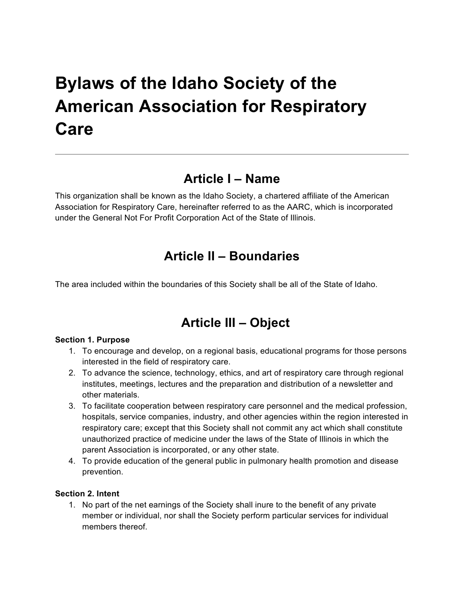# **Bylaws of the Idaho Society of the American Association for Respiratory Care**

### **Article I – Name**

This organization shall be known as the Idaho Society, a chartered affiliate of the American Association for Respiratory Care, hereinafter referred to as the AARC, which is incorporated under the General Not For Profit Corporation Act of the State of Illinois.

### **Article II – Boundaries**

The area included within the boundaries of this Society shall be all of the State of Idaho.

# **Article III – Object**

#### **Section 1. Purpose**

- 1. To encourage and develop, on a regional basis, educational programs for those persons interested in the field of respiratory care.
- 2. To advance the science, technology, ethics, and art of respiratory care through regional institutes, meetings, lectures and the preparation and distribution of a newsletter and other materials.
- 3. To facilitate cooperation between respiratory care personnel and the medical profession, hospitals, service companies, industry, and other agencies within the region interested in respiratory care; except that this Society shall not commit any act which shall constitute unauthorized practice of medicine under the laws of the State of Illinois in which the parent Association is incorporated, or any other state.
- 4. To provide education of the general public in pulmonary health promotion and disease prevention.

#### **Section 2. Intent**

1. No part of the net earnings of the Society shall inure to the benefit of any private member or individual, nor shall the Society perform particular services for individual members thereof.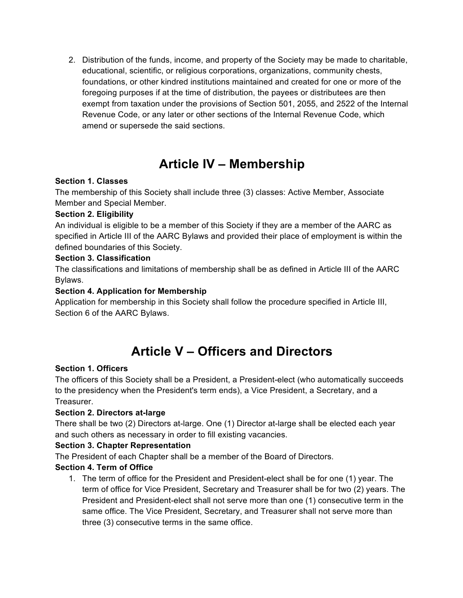2. Distribution of the funds, income, and property of the Society may be made to charitable, educational, scientific, or religious corporations, organizations, community chests, foundations, or other kindred institutions maintained and created for one or more of the foregoing purposes if at the time of distribution, the payees or distributees are then exempt from taxation under the provisions of Section 501, 2055, and 2522 of the Internal Revenue Code, or any later or other sections of the Internal Revenue Code, which amend or supersede the said sections.

### **Article IV – Membership**

#### **Section 1. Classes**

The membership of this Society shall include three (3) classes: Active Member, Associate Member and Special Member.

#### **Section 2. Eligibility**

An individual is eligible to be a member of this Society if they are a member of the AARC as specified in Article III of the AARC Bylaws and provided their place of employment is within the defined boundaries of this Society.

#### **Section 3. Classification**

The classifications and limitations of membership shall be as defined in Article III of the AARC Bylaws.

#### **Section 4. Application for Membership**

Application for membership in this Society shall follow the procedure specified in Article III, Section 6 of the AARC Bylaws.

# **Article V – Officers and Directors**

#### **Section 1. Officers**

The officers of this Society shall be a President, a President-elect (who automatically succeeds to the presidency when the President's term ends), a Vice President, a Secretary, and a Treasurer.

#### **Section 2. Directors at-large**

There shall be two (2) Directors at-large. One (1) Director at-large shall be elected each year and such others as necessary in order to fill existing vacancies.

#### **Section 3. Chapter Representation**

The President of each Chapter shall be a member of the Board of Directors.

#### **Section 4. Term of Office**

1. The term of office for the President and President-elect shall be for one (1) year. The term of office for Vice President, Secretary and Treasurer shall be for two (2) years. The President and President-elect shall not serve more than one (1) consecutive term in the same office. The Vice President, Secretary, and Treasurer shall not serve more than three (3) consecutive terms in the same office.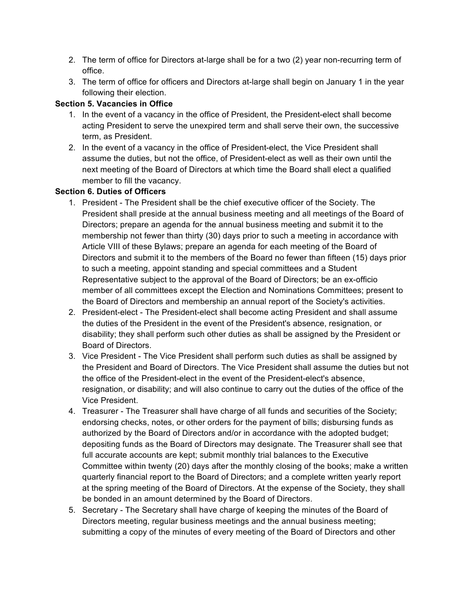- 2. The term of office for Directors at-large shall be for a two (2) year non-recurring term of office.
- 3. The term of office for officers and Directors at-large shall begin on January 1 in the year following their election.

#### **Section 5. Vacancies in Office**

- 1. In the event of a vacancy in the office of President, the President-elect shall become acting President to serve the unexpired term and shall serve their own, the successive term, as President.
- 2. In the event of a vacancy in the office of President-elect, the Vice President shall assume the duties, but not the office, of President-elect as well as their own until the next meeting of the Board of Directors at which time the Board shall elect a qualified member to fill the vacancy.

#### **Section 6. Duties of Officers**

- 1. President The President shall be the chief executive officer of the Society. The President shall preside at the annual business meeting and all meetings of the Board of Directors; prepare an agenda for the annual business meeting and submit it to the membership not fewer than thirty (30) days prior to such a meeting in accordance with Article VIII of these Bylaws; prepare an agenda for each meeting of the Board of Directors and submit it to the members of the Board no fewer than fifteen (15) days prior to such a meeting, appoint standing and special committees and a Student Representative subject to the approval of the Board of Directors; be an ex-officio member of all committees except the Election and Nominations Committees; present to the Board of Directors and membership an annual report of the Society's activities.
- 2. President-elect The President-elect shall become acting President and shall assume the duties of the President in the event of the President's absence, resignation, or disability; they shall perform such other duties as shall be assigned by the President or Board of Directors.
- 3. Vice President The Vice President shall perform such duties as shall be assigned by the President and Board of Directors. The Vice President shall assume the duties but not the office of the President-elect in the event of the President-elect's absence, resignation, or disability; and will also continue to carry out the duties of the office of the Vice President.
- 4. Treasurer The Treasurer shall have charge of all funds and securities of the Society; endorsing checks, notes, or other orders for the payment of bills; disbursing funds as authorized by the Board of Directors and/or in accordance with the adopted budget; depositing funds as the Board of Directors may designate. The Treasurer shall see that full accurate accounts are kept; submit monthly trial balances to the Executive Committee within twenty (20) days after the monthly closing of the books; make a written quarterly financial report to the Board of Directors; and a complete written yearly report at the spring meeting of the Board of Directors. At the expense of the Society, they shall be bonded in an amount determined by the Board of Directors.
- 5. Secretary The Secretary shall have charge of keeping the minutes of the Board of Directors meeting, regular business meetings and the annual business meeting; submitting a copy of the minutes of every meeting of the Board of Directors and other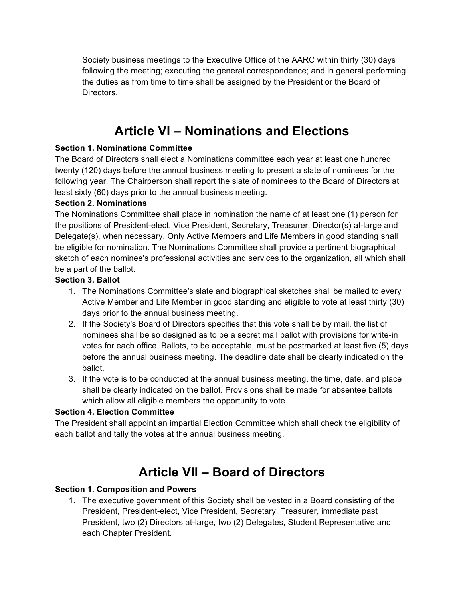Society business meetings to the Executive Office of the AARC within thirty (30) days following the meeting; executing the general correspondence; and in general performing the duties as from time to time shall be assigned by the President or the Board of Directors.

### **Article VI – Nominations and Elections**

#### **Section 1. Nominations Committee**

The Board of Directors shall elect a Nominations committee each year at least one hundred twenty (120) days before the annual business meeting to present a slate of nominees for the following year. The Chairperson shall report the slate of nominees to the Board of Directors at least sixty (60) days prior to the annual business meeting.

#### **Section 2. Nominations**

The Nominations Committee shall place in nomination the name of at least one (1) person for the positions of President-elect, Vice President, Secretary, Treasurer, Director(s) at-large and Delegate(s), when necessary. Only Active Members and Life Members in good standing shall be eligible for nomination. The Nominations Committee shall provide a pertinent biographical sketch of each nominee's professional activities and services to the organization, all which shall be a part of the ballot.

#### **Section 3. Ballot**

- 1. The Nominations Committee's slate and biographical sketches shall be mailed to every Active Member and Life Member in good standing and eligible to vote at least thirty (30) days prior to the annual business meeting.
- 2. If the Society's Board of Directors specifies that this vote shall be by mail, the list of nominees shall be so designed as to be a secret mail ballot with provisions for write-in votes for each office. Ballots, to be acceptable, must be postmarked at least five (5) days before the annual business meeting. The deadline date shall be clearly indicated on the ballot.
- 3. If the vote is to be conducted at the annual business meeting, the time, date, and place shall be clearly indicated on the ballot. Provisions shall be made for absentee ballots which allow all eligible members the opportunity to vote.

#### **Section 4. Election Committee**

The President shall appoint an impartial Election Committee which shall check the eligibility of each ballot and tally the votes at the annual business meeting.

### **Article VII – Board of Directors**

#### **Section 1. Composition and Powers**

1. The executive government of this Society shall be vested in a Board consisting of the President, President-elect, Vice President, Secretary, Treasurer, immediate past President, two (2) Directors at-large, two (2) Delegates, Student Representative and each Chapter President.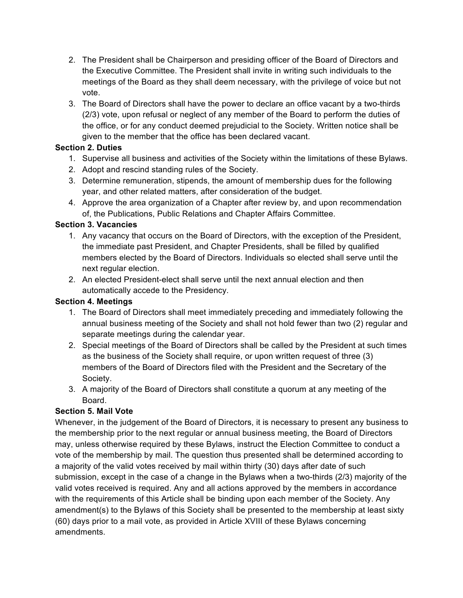- 2. The President shall be Chairperson and presiding officer of the Board of Directors and the Executive Committee. The President shall invite in writing such individuals to the meetings of the Board as they shall deem necessary, with the privilege of voice but not vote.
- 3. The Board of Directors shall have the power to declare an office vacant by a two-thirds (2/3) vote, upon refusal or neglect of any member of the Board to perform the duties of the office, or for any conduct deemed prejudicial to the Society. Written notice shall be given to the member that the office has been declared vacant.

#### **Section 2. Duties**

- 1. Supervise all business and activities of the Society within the limitations of these Bylaws.
- 2. Adopt and rescind standing rules of the Society.
- 3. Determine remuneration, stipends, the amount of membership dues for the following year, and other related matters, after consideration of the budget.
- 4. Approve the area organization of a Chapter after review by, and upon recommendation of, the Publications, Public Relations and Chapter Affairs Committee.

#### **Section 3. Vacancies**

- 1. Any vacancy that occurs on the Board of Directors, with the exception of the President, the immediate past President, and Chapter Presidents, shall be filled by qualified members elected by the Board of Directors. Individuals so elected shall serve until the next regular election.
- 2. An elected President-elect shall serve until the next annual election and then automatically accede to the Presidency.

#### **Section 4. Meetings**

- 1. The Board of Directors shall meet immediately preceding and immediately following the annual business meeting of the Society and shall not hold fewer than two (2) regular and separate meetings during the calendar year.
- 2. Special meetings of the Board of Directors shall be called by the President at such times as the business of the Society shall require, or upon written request of three (3) members of the Board of Directors filed with the President and the Secretary of the Society.
- 3. A majority of the Board of Directors shall constitute a quorum at any meeting of the Board.

#### **Section 5. Mail Vote**

Whenever, in the judgement of the Board of Directors, it is necessary to present any business to the membership prior to the next regular or annual business meeting, the Board of Directors may, unless otherwise required by these Bylaws, instruct the Election Committee to conduct a vote of the membership by mail. The question thus presented shall be determined according to a majority of the valid votes received by mail within thirty (30) days after date of such submission, except in the case of a change in the Bylaws when a two-thirds (2/3) majority of the valid votes received is required. Any and all actions approved by the members in accordance with the requirements of this Article shall be binding upon each member of the Society. Any amendment(s) to the Bylaws of this Society shall be presented to the membership at least sixty (60) days prior to a mail vote, as provided in Article XVIII of these Bylaws concerning amendments.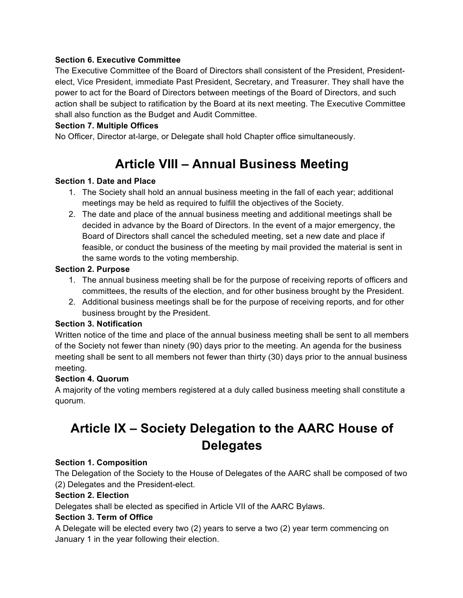#### **Section 6. Executive Committee**

The Executive Committee of the Board of Directors shall consistent of the President, Presidentelect, Vice President, immediate Past President, Secretary, and Treasurer. They shall have the power to act for the Board of Directors between meetings of the Board of Directors, and such action shall be subject to ratification by the Board at its next meeting. The Executive Committee shall also function as the Budget and Audit Committee.

#### **Section 7. Multiple Offices**

No Officer, Director at-large, or Delegate shall hold Chapter office simultaneously.

# **Article VIII – Annual Business Meeting**

#### **Section 1. Date and Place**

- 1. The Society shall hold an annual business meeting in the fall of each year; additional meetings may be held as required to fulfill the objectives of the Society.
- 2. The date and place of the annual business meeting and additional meetings shall be decided in advance by the Board of Directors. In the event of a major emergency, the Board of Directors shall cancel the scheduled meeting, set a new date and place if feasible, or conduct the business of the meeting by mail provided the material is sent in the same words to the voting membership.

#### **Section 2. Purpose**

- 1. The annual business meeting shall be for the purpose of receiving reports of officers and committees, the results of the election, and for other business brought by the President.
- 2. Additional business meetings shall be for the purpose of receiving reports, and for other business brought by the President.

#### **Section 3. Notification**

Written notice of the time and place of the annual business meeting shall be sent to all members of the Society not fewer than ninety (90) days prior to the meeting. An agenda for the business meeting shall be sent to all members not fewer than thirty (30) days prior to the annual business meeting.

#### **Section 4. Quorum**

A majority of the voting members registered at a duly called business meeting shall constitute a quorum.

# **Article IX – Society Delegation to the AARC House of Delegates**

#### **Section 1. Composition**

The Delegation of the Society to the House of Delegates of the AARC shall be composed of two (2) Delegates and the President-elect.

#### **Section 2. Election**

Delegates shall be elected as specified in Article VII of the AARC Bylaws.

#### **Section 3. Term of Office**

A Delegate will be elected every two (2) years to serve a two (2) year term commencing on January 1 in the year following their election.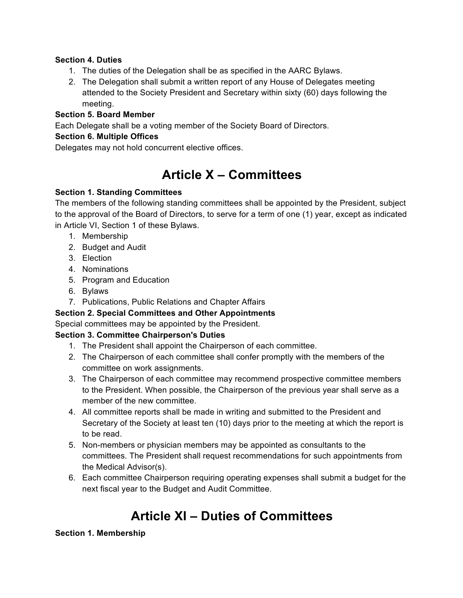#### **Section 4. Duties**

- 1. The duties of the Delegation shall be as specified in the AARC Bylaws.
- 2. The Delegation shall submit a written report of any House of Delegates meeting attended to the Society President and Secretary within sixty (60) days following the meeting.

#### **Section 5. Board Member**

Each Delegate shall be a voting member of the Society Board of Directors.

#### **Section 6. Multiple Offices**

Delegates may not hold concurrent elective offices.

### **Article X – Committees**

#### **Section 1. Standing Committees**

The members of the following standing committees shall be appointed by the President, subject to the approval of the Board of Directors, to serve for a term of one (1) year, except as indicated in Article VI, Section 1 of these Bylaws.

- 1. Membership
- 2. Budget and Audit
- 3. Election
- 4. Nominations
- 5. Program and Education
- 6. Bylaws
- 7. Publications, Public Relations and Chapter Affairs

#### **Section 2. Special Committees and Other Appointments**

Special committees may be appointed by the President.

#### **Section 3. Committee Chairperson's Duties**

- 1. The President shall appoint the Chairperson of each committee.
- 2. The Chairperson of each committee shall confer promptly with the members of the committee on work assignments.
- 3. The Chairperson of each committee may recommend prospective committee members to the President. When possible, the Chairperson of the previous year shall serve as a member of the new committee.
- 4. All committee reports shall be made in writing and submitted to the President and Secretary of the Society at least ten (10) days prior to the meeting at which the report is to be read.
- 5. Non-members or physician members may be appointed as consultants to the committees. The President shall request recommendations for such appointments from the Medical Advisor(s).
- 6. Each committee Chairperson requiring operating expenses shall submit a budget for the next fiscal year to the Budget and Audit Committee.

# **Article XI – Duties of Committees**

#### **Section 1. Membership**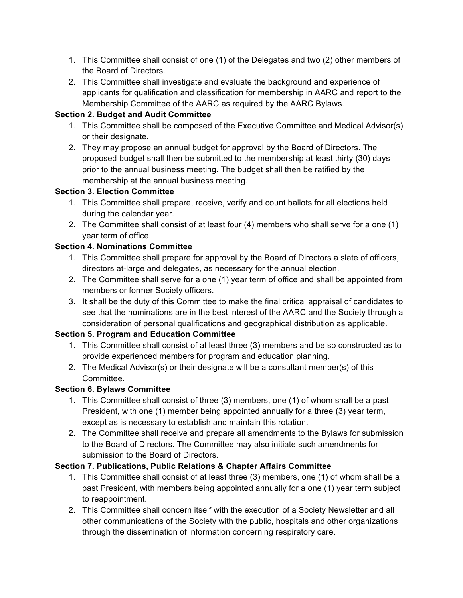- 1. This Committee shall consist of one (1) of the Delegates and two (2) other members of the Board of Directors.
- 2. This Committee shall investigate and evaluate the background and experience of applicants for qualification and classification for membership in AARC and report to the Membership Committee of the AARC as required by the AARC Bylaws.

#### **Section 2. Budget and Audit Committee**

- 1. This Committee shall be composed of the Executive Committee and Medical Advisor(s) or their designate.
- 2. They may propose an annual budget for approval by the Board of Directors. The proposed budget shall then be submitted to the membership at least thirty (30) days prior to the annual business meeting. The budget shall then be ratified by the membership at the annual business meeting.

#### **Section 3. Election Committee**

- 1. This Committee shall prepare, receive, verify and count ballots for all elections held during the calendar year.
- 2. The Committee shall consist of at least four (4) members who shall serve for a one (1) year term of office.

#### **Section 4. Nominations Committee**

- 1. This Committee shall prepare for approval by the Board of Directors a slate of officers, directors at-large and delegates, as necessary for the annual election.
- 2. The Committee shall serve for a one (1) year term of office and shall be appointed from members or former Society officers.
- 3. It shall be the duty of this Committee to make the final critical appraisal of candidates to see that the nominations are in the best interest of the AARC and the Society through a consideration of personal qualifications and geographical distribution as applicable.

#### **Section 5. Program and Education Committee**

- 1. This Committee shall consist of at least three (3) members and be so constructed as to provide experienced members for program and education planning.
- 2. The Medical Advisor(s) or their designate will be a consultant member(s) of this Committee.

#### **Section 6. Bylaws Committee**

- 1. This Committee shall consist of three (3) members, one (1) of whom shall be a past President, with one (1) member being appointed annually for a three (3) year term, except as is necessary to establish and maintain this rotation.
- 2. The Committee shall receive and prepare all amendments to the Bylaws for submission to the Board of Directors. The Committee may also initiate such amendments for submission to the Board of Directors.

#### **Section 7. Publications, Public Relations & Chapter Affairs Committee**

- 1. This Committee shall consist of at least three (3) members, one (1) of whom shall be a past President, with members being appointed annually for a one (1) year term subject to reappointment.
- 2. This Committee shall concern itself with the execution of a Society Newsletter and all other communications of the Society with the public, hospitals and other organizations through the dissemination of information concerning respiratory care.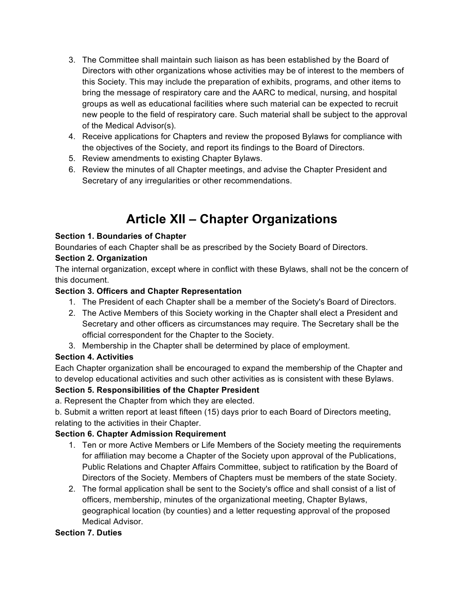- 3. The Committee shall maintain such liaison as has been established by the Board of Directors with other organizations whose activities may be of interest to the members of this Society. This may include the preparation of exhibits, programs, and other items to bring the message of respiratory care and the AARC to medical, nursing, and hospital groups as well as educational facilities where such material can be expected to recruit new people to the field of respiratory care. Such material shall be subject to the approval of the Medical Advisor(s).
- 4. Receive applications for Chapters and review the proposed Bylaws for compliance with the objectives of the Society, and report its findings to the Board of Directors.
- 5. Review amendments to existing Chapter Bylaws.
- 6. Review the minutes of all Chapter meetings, and advise the Chapter President and Secretary of any irregularities or other recommendations.

# **Article XII – Chapter Organizations**

#### **Section 1. Boundaries of Chapter**

Boundaries of each Chapter shall be as prescribed by the Society Board of Directors.

#### **Section 2. Organization**

The internal organization, except where in conflict with these Bylaws, shall not be the concern of this document.

#### **Section 3. Officers and Chapter Representation**

- 1. The President of each Chapter shall be a member of the Society's Board of Directors.
- 2. The Active Members of this Society working in the Chapter shall elect a President and Secretary and other officers as circumstances may require. The Secretary shall be the official correspondent for the Chapter to the Society.
- 3. Membership in the Chapter shall be determined by place of employment.

#### **Section 4. Activities**

Each Chapter organization shall be encouraged to expand the membership of the Chapter and to develop educational activities and such other activities as is consistent with these Bylaws.

#### **Section 5. Responsibilities of the Chapter President**

a. Represent the Chapter from which they are elected.

b. Submit a written report at least fifteen (15) days prior to each Board of Directors meeting, relating to the activities in their Chapter.

#### **Section 6. Chapter Admission Requirement**

- 1. Ten or more Active Members or Life Members of the Society meeting the requirements for affiliation may become a Chapter of the Society upon approval of the Publications, Public Relations and Chapter Affairs Committee, subject to ratification by the Board of Directors of the Society. Members of Chapters must be members of the state Society.
- 2. The formal application shall be sent to the Society's office and shall consist of a list of officers, membership, minutes of the organizational meeting, Chapter Bylaws, geographical location (by counties) and a letter requesting approval of the proposed Medical Advisor.

#### **Section 7. Duties**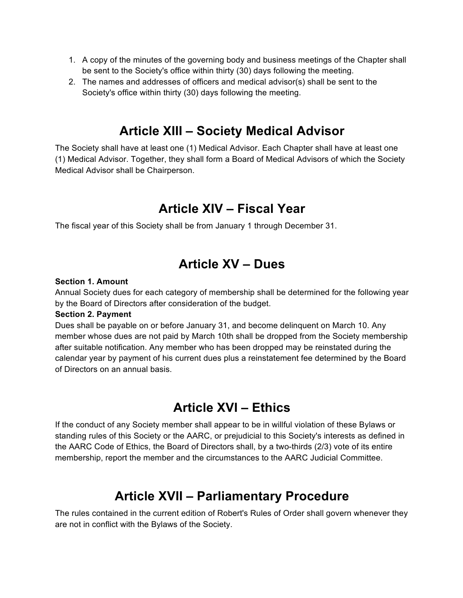- 1. A copy of the minutes of the governing body and business meetings of the Chapter shall be sent to the Society's office within thirty (30) days following the meeting.
- 2. The names and addresses of officers and medical advisor(s) shall be sent to the Society's office within thirty (30) days following the meeting.

### **Article XIII – Society Medical Advisor**

The Society shall have at least one (1) Medical Advisor. Each Chapter shall have at least one (1) Medical Advisor. Together, they shall form a Board of Medical Advisors of which the Society Medical Advisor shall be Chairperson.

### **Article XIV – Fiscal Year**

The fiscal year of this Society shall be from January 1 through December 31.

### **Article XV – Dues**

#### **Section 1. Amount**

Annual Society dues for each category of membership shall be determined for the following year by the Board of Directors after consideration of the budget.

#### **Section 2. Payment**

Dues shall be payable on or before January 31, and become delinquent on March 10. Any member whose dues are not paid by March 10th shall be dropped from the Society membership after suitable notification. Any member who has been dropped may be reinstated during the calendar year by payment of his current dues plus a reinstatement fee determined by the Board of Directors on an annual basis.

### **Article XVI – Ethics**

If the conduct of any Society member shall appear to be in willful violation of these Bylaws or standing rules of this Society or the AARC, or prejudicial to this Society's interests as defined in the AARC Code of Ethics, the Board of Directors shall, by a two-thirds (2/3) vote of its entire membership, report the member and the circumstances to the AARC Judicial Committee.

### **Article XVII – Parliamentary Procedure**

The rules contained in the current edition of Robert's Rules of Order shall govern whenever they are not in conflict with the Bylaws of the Society.